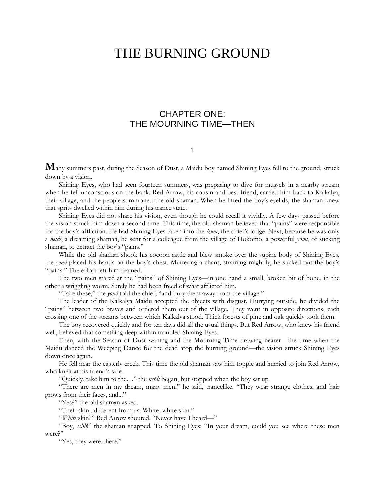# THE BURNING GROUND

# CHAPTER ONE: THE MOURNING TIME—THEN

#### 1

**M**any summers past, during the Season of Dust, a Maidu boy named Shining Eyes fell to the ground, struck down by a vision.

Shining Eyes, who had seen fourteen summers, was preparing to dive for mussels in a nearby stream when he fell unconscious on the bank. Red Arrow, his cousin and best friend, carried him back to Kalkalya, their village, and the people summoned the old shaman. When he lifted the boy's eyelids, the shaman knew that sprits dwelled within him during his trance state.

Shining Eyes did not share his vision, even though he could recall it vividly. A few days passed before the vision struck him down a second time. This time, the old shaman believed that "pains" were responsible for the boy's affliction. He had Shining Eyes taken into the *kum*, the chief's lodge. Next, because he was only a *netdi*, a dreaming shaman, he sent for a colleague from the village of Hokomo, a powerful *yomi*, or sucking shaman, to extract the boy's "pains."

While the old shaman shook his cocoon rattle and blew smoke over the supine body of Shining Eyes, the *yomi* placed his hands on the boy's chest. Muttering a chant, straining mightily, he sucked out the boy's "pains." The effort left him drained.

The two men stared at the "pains" of Shining Eyes—in one hand a small, broken bit of bone, in the other a wriggling worm. Surely he had been freed of what afflicted him.

"Take these," the *yomi* told the chief, "and bury them away from the village."

The leader of the Kalkalya Maidu accepted the objects with disgust. Hurrying outside, he divided the "pains" between two braves and ordered them out of the village. They went in opposite directions, each crossing one of the streams between which Kalkalya stood. Thick forests of pine and oak quickly took them.

The boy recovered quickly and for ten days did all the usual things. But Red Arrow, who knew his friend well, believed that something deep within troubled Shining Eyes.

Then, with the Season of Dust waning and the Mourning Time drawing nearer—the time when the Maidu danced the Weeping Dance for the dead atop the burning ground—the vision struck Shining Eyes down once again.

He fell near the easterly creek. This time the old shaman saw him topple and hurried to join Red Arrow, who knelt at his friend's side.

"Quickly, take him to the…" the *netdi* began, but stopped when the boy sat up.

"There are men in my dream, many men," he said, trancelike. "They wear strange clothes, and hair grows from their faces, and..."

"Yes?" the old shaman asked.

"Their skin...different from us. White; white skin."

"*White* skin?" Red Arrow shouted. "Never have I heard—"

"Boy, *sshh*!" the shaman snapped. To Shining Eyes: "In your dream, could you see where these men were?"

"Yes, they were...here."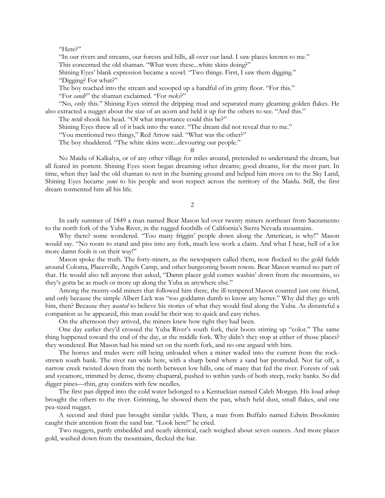"Here?"

"In our rivers and streams, our forests and hills, all over our land. I saw places known to me." This concerned the old shaman. "What were these...white skins doing?"

Shining Eyes' blank expression became a scowl. "Two things. First, I saw them digging." "Digging? For what?"

The boy reached into the stream and scooped up a handful of its gritty floor. "For this." "For *sand*?" the shaman exclaimed. "For *rocks*?"

"No, only this." Shining Eyes stirred the dripping mud and separated many gleaming golden flakes. He also extracted a nugget about the size of an acorn and held it up for the others to see. "And this."

The *netdi* shook his head. "Of what importance could this be?"

Shining Eyes threw all of it back into the water. "The dream did not reveal that to me."

"You mentioned two things," Red Arrow said. "What was the other?"

The boy shuddered. "The white skins were...devouring our people."

#

No Maidu of Kalkalya, or of any other village for miles around, pretended to understand the dream, but all feared its portent. Shining Eyes soon began dreaming other dreams; good dreams, for the most part. In time, when they laid the old shaman to rest in the burning ground and helped him move on to the Sky Land, Shining Eyes became *yomi* to his people and won respect across the territory of the Maidu. Still, the first dream tormented him all his life.

2

In early summer of 1849 a man named Bear Mason led over twenty miners northeast from Sacramento to the north fork of the Yuba River, in the rugged foothills of California's Sierra Nevada mountains.

Why there? some wondered. "Too many friggin' people down along the American, is why!" Mason would say. "No room to stand and piss into any fork, much less work a claim. And what I hear, hell of a lot more damn fools is on their way!"

Mason spoke the truth. The forty-niners, as the newspapers called them, now flocked to the gold fields around Coloma, Placerville, Angels Camp, and other burgeoning boom towns. Bear Mason wanted no part of that. He would also tell anyone that asked, "Damn placer gold comes washin' down from the mountains, so they's gotta be as much or more up along the Yuba as anywhere else."

Among the twenty-odd miners that followed him there, the ill-tempered Mason counted just one friend, and only because the simple Albert Lick was "too goddamn dumb to know any better." Why did they go with him, then? Because they *wanted* to believe his stories of what they would find along the Yuba. As distasteful a companion as he appeared, this man could be their way to quick and easy riches.

On the afternoon they arrived, the miners knew how right they had been.

One day earlier they'd crossed the Yuba River's south fork, their boots stirring up "color." The same thing happened toward the end of the day, at the middle fork. Why didn't they stop at either of those places? they wondered. But Mason had his mind set on the north fork, and no one argued with him.

The horses and mules were still being unloaded when a miner waded into the current from the rockstrewn south bank. The river ran wide here, with a sharp bend where a sand bar protruded. Not far off, a narrow creek twisted down from the north between low hills, one of many that fed the river. Forests of oak and sycamore, trimmed by dense, thorny chaparral, pushed to within yards of both steep, rocky banks. So did digger pines—thin, gray conifers with few needles.

The first pan dipped into the cold water belonged to a Kentuckian named Caleb Morgan. His loud *whoop* brought the others to the river. Grinning, he showed them the pan, which held dust, small flakes, and one pea-sized nugget.

A second and third pan brought similar yields. Then, a man from Buffalo named Edwin Brookmire caught their attention from the sand bar. "Look here!" he cried.

Two nuggets, partly embedded and nearly identical, each weighed about seven ounces. And more placer gold, washed down from the mountains, flecked the bar.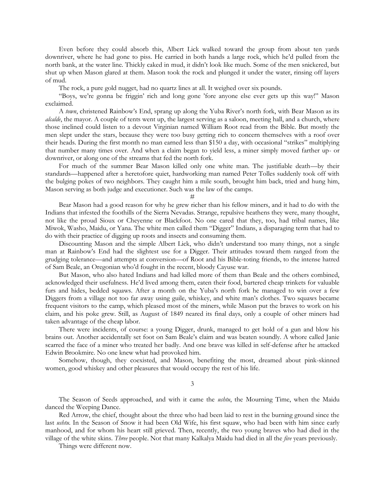Even before they could absorb this, Albert Lick walked toward the group from about ten yards downriver, where he had gone to piss. He carried in both hands a large rock, which he'd pulled from the north bank, at the water line. Thickly caked in mud, it didn't look like much. Some of the men snickered, but shut up when Mason glared at them. Mason took the rock and plunged it under the water, rinsing off layers of mud.

The rock, a pure gold nugget, had no quartz lines at all. It weighed over six pounds.

"Boys, we're gonna be friggin' rich and long gone 'fore anyone else ever gets up this way!" Mason exclaimed.

A *town*, christened Rainbow's End, sprang up along the Yuba River's north fork, with Bear Mason as its *alcalde*, the mayor. A couple of tents went up, the largest serving as a saloon, meeting hall, and a church, where those inclined could listen to a devout Virginian named William Root read from the Bible. But mostly the men slept under the stars, because they were too busy getting rich to concern themselves with a roof over their heads. During the first month no man earned less than \$150 a day, with occasional "strikes" multiplying that number many times over. And when a claim began to yield less, a miner simply moved farther up- or downriver, or along one of the streams that fed the north fork.

For much of the summer Bear Mason killed only one white man. The justifiable death—by their standards—happened after a heretofore quiet, hardworking man named Peter Tolles suddenly took off with the bulging pokes of two neighbors. They caught him a mile south, brought him back, tried and hung him, Mason serving as both judge and executioner. Such was the law of the camps.

#

Bear Mason had a good reason for why he grew richer than his fellow miners, and it had to do with the Indians that infested the foothills of the Sierra Nevadas. Strange, repulsive heathens they were, many thought, not like the proud Sioux or Cheyenne or Blackfoot. No one cared that they, too, had tribal names, like Miwok, Washo, Maidu, or Yana. The white men called them "Digger" Indians, a disparaging term that had to do with their practice of digging up roots and insects and consuming them.

Discounting Mason and the simple Albert Lick, who didn't understand too many things, not a single man at Rainbow's End had the slightest use for a Digger. Their attitudes toward them ranged from the grudging tolerance—and attempts at conversion—of Root and his Bible-toting friends, to the intense hatred of Sam Beale, an Oregonian who'd fought in the recent, bloody Cayuse war.

But Mason, who also hated Indians and had killed more of them than Beale and the others combined, acknowledged their usefulness. He'd lived among them, eaten their food, bartered cheap trinkets for valuable furs and hides, bedded squaws. After a month on the Yuba's north fork he managed to win over a few Diggers from a village not too far away using guile, whiskey, and white man's clothes. Two squaws became frequent visitors to the camp, which pleased most of the miners, while Mason put the braves to work on his claim, and his poke grew. Still, as August of 1849 neared its final days, only a couple of other miners had taken advantage of the cheap labor.

There were incidents, of course: a young Digger, drunk, managed to get hold of a gun and blow his brains out. Another accidentally set foot on Sam Beale's claim and was beaten soundly. A whore called Janie scarred the face of a miner who treated her badly. And one brave was killed in self-defense after he attacked Edwin Brookmire. No one knew what had provoked him.

Somehow, though, they coexisted, and Mason, benefiting the most, dreamed about pink-skinned women, good whiskey and other pleasures that would occupy the rest of his life.

3

The Season of Seeds approached, and with it came the *ushtu*, the Mourning Time, when the Maidu danced the Weeping Dance.

Red Arrow, the chief, thought about the three who had been laid to rest in the burning ground since the last *ushtu*. In the Season of Snow it had been Old Wife, his first squaw, who had been with him since early manhood, and for whom his heart still grieved. Then, recently, the two young braves who had died in the village of the white skins. *Three* people. Not that many Kalkalya Maidu had died in all the *five* years previously.

Things were different now.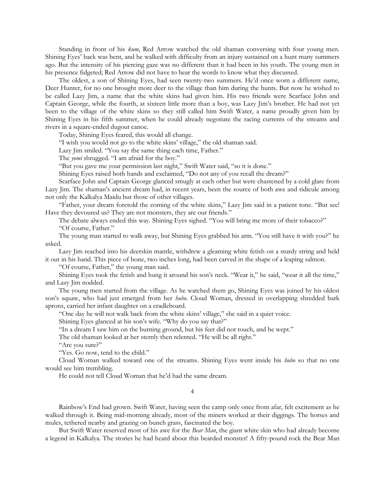Standing in front of his *kum*, Red Arrow watched the old shaman conversing with four young men. Shining Eyes' back was bent, and he walked with difficulty from an injury sustained on a hunt many summers ago. But the intensity of his piercing gaze was no different than it had been in his youth. The young men in his presence fidgeted; Red Arrow did not have to hear the words to know what they discussed.

The oldest, a son of Shining Eyes, had seen twenty-two summers. He'd once worn a different name, Deer Hunter, for no one brought more deer to the village than him during the hunts. But now he wished to be called Lazy Jim, a name that the white skins had given him. His two friends were Scarface John and Captain George, while the fourth, at sixteen little more than a boy, was Lazy Jim's brother. He had not yet been to the village of the white skins so they still called him Swift Water, a name proudly given him by Shining Eyes in his fifth summer, when he could already negotiate the racing currents of the streams and rivers in a square-ended dugout canoe.

Today, Shining Eyes feared, this would all change.

"I wish you would not go to the white skins' village," the old shaman said.

Lazy Jim smiled. "You say the same thing each time, Father."

The *yomi* shrugged. "I am afraid for the boy."

"But you gave me your permission last night," Swift Water said, "so it is done."

Shining Eyes raised both hands and exclaimed, "Do not any of you recall the dream?"

Scarface John and Captain George glanced smugly at each other but were chastened by a cold glare from Lazy Jim. The shaman's ancient dream had, in recent years, been the source of both awe and ridicule among not only the Kalkalya Maidu but those of other villages.

"Father, your dream foretold the coming of the white skins," Lazy Jim said in a patient tone. "But see! Have they devoured us? They are not monsters, they are our friends."

The debate always ended this way. Shining Eyes sighed. "You will bring me more of their tobacco?" "Of course, Father."

The young man started to walk away, but Shining Eyes grabbed his arm. "You still have it with you?" he asked.

Lazy Jim reached into his deerskin mantle, withdrew a gleaming white fetish on a sturdy string and held it out in his hand. This piece of bone, two inches long, had been carved in the shape of a leaping salmon.

"Of course, Father," the young man said.

Shining Eyes took the fetish and hung it around his son's neck. "Wear it," he said, "wear it all the time," and Lazy Jim nodded.

The young men started from the village. As he watched them go, Shining Eyes was joined by his oldest son's squaw, who had just emerged from her *hubo*. Cloud Woman, dressed in overlapping shredded bark aprons, carried her infant daughter on a cradleboard.

"One day he will not walk back from the white skins' village," she said in a quiet voice.

Shining Eyes glanced at his son's wife. "Why do you say that?"

"In a dream I saw him on the burning ground, but his feet did not touch, and he wept."

The old shaman looked at her sternly then relented. "He will be all right."

"Are you sure?"

"Yes. Go now, tend to the child."

Cloud Woman walked toward one of the streams. Shining Eyes went inside his *hubo* so that no one would see him trembling.

He could not tell Cloud Woman that he'd had the same dream.

4

Rainbow's End had grown. Swift Water, having seen the camp only once from afar, felt excitement as he walked through it. Being mid-morning already, most of the miners worked at their diggings. The horses and mules, tethered nearby and grazing on bunch grass, fascinated the boy.

But Swift Water reserved most of his awe for the *Bear Man*, the giant white skin who had already become a legend in Kalkalya. The stories he had heard about this bearded monster! A fifty-pound rock the Bear Man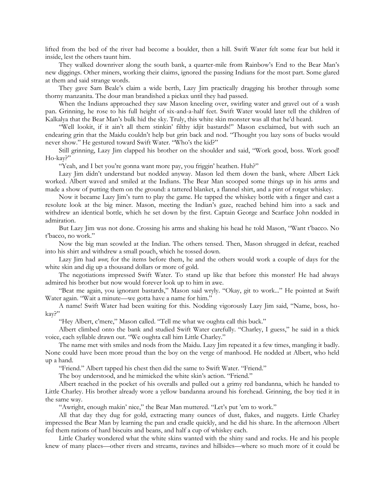lifted from the bed of the river had become a boulder, then a hill. Swift Water felt some fear but held it inside, lest the others taunt him.

They walked downriver along the south bank, a quarter-mile from Rainbow's End to the Bear Man's new diggings. Other miners, working their claims, ignored the passing Indians for the most part. Some glared at them and said strange words.

They gave Sam Beale's claim a wide berth, Lazy Jim practically dragging his brother through some thorny manzanita. The dour man brandished a pickax until they had passed.

When the Indians approached they saw Mason kneeling over, swirling water and gravel out of a wash pan. Grinning, he rose to his full height of six-and-a-half feet. Swift Water would later tell the children of Kalkalya that the Bear Man's bulk hid the sky. Truly, this white skin monster was all that he'd heard.

"Well lookit, if it ain't all them stinkin' filthy idjit bastards!" Mason exclaimed, but with such an endearing grin that the Maidu couldn't help but grin back and nod. "Thought you lazy sons of bucks would never show." He gestured toward Swift Water. "Who's the kid?"

Still grinning, Lazy Jim clapped his brother on the shoulder and said, "Work good, boss. Work good! Ho-kay?"

"Yeah, and I bet you're gonna want more pay, you friggin' heathen. Huh?"

Lazy Jim didn't understand but nodded anyway. Mason led them down the bank, where Albert Lick worked. Albert waved and smiled at the Indians. The Bear Man scooped some things up in his arms and made a show of putting them on the ground: a tattered blanket, a flannel shirt, and a pint of rotgut whiskey.

Now it became Lazy Jim's turn to play the game. He tapped the whiskey bottle with a finger and cast a resolute look at the big miner. Mason, meeting the Indian's gaze, reached behind him into a sack and withdrew an identical bottle, which he set down by the first. Captain George and Scarface John nodded in admiration.

But Lazy Jim was not done. Crossing his arms and shaking his head he told Mason, "Want t'bacco. No t'bacco, no work."

Now the big man scowled at the Indian. The others tensed. Then, Mason shrugged in defeat, reached into his shirt and withdrew a small pouch, which he tossed down.

Lazy Jim had *won*; for the items before them, he and the others would work a couple of days for the white skin and dig up a thousand dollars or more of gold.

The negotiations impressed Swift Water. To stand up like that before this monster! He had always admired his brother but now would forever look up to him in awe.

"Beat me again, you ignorant bastards," Mason said wryly. "Okay, git to work..." He pointed at Swift Water again. "Wait a minute—we gotta have a name for him."

A name! Swift Water had been waiting for this. Nodding vigorously Lazy Jim said, "Name, boss, hokay?"

"Hey Albert, c'mere," Mason called. "Tell me what we oughta call this buck."

Albert climbed onto the bank and studied Swift Water carefully. "Charley, I guess," he said in a thick voice, each syllable drawn out. "We oughta call him Little Charley."

The name met with smiles and nods from the Maidu. Lazy Jim repeated it a few times, mangling it badly. None could have been more proud than the boy on the verge of manhood. He nodded at Albert, who held up a hand.

"Friend." Albert tapped his chest then did the same to Swift Water. "Friend."

The boy understood, and he mimicked the white skin's action. "Friend."

Albert reached in the pocket of his overalls and pulled out a grimy red bandanna, which he handed to Little Charley. His brother already wore a yellow bandanna around his forehead. Grinning, the boy tied it in the same way.

"Awright, enough makin' nice," the Bear Man muttered. "Let's put 'em to work."

All that day they dug for gold, extracting many ounces of dust, flakes, and nuggets. Little Charley impressed the Bear Man by learning the pan and cradle quickly, and he did his share. In the afternoon Albert fed them rations of hard biscuits and beans, and half a cup of whiskey each.

Little Charley wondered what the white skins wanted with the shiny sand and rocks. He and his people knew of many places—other rivers and streams, ravines and hillsides—where so much more of it could be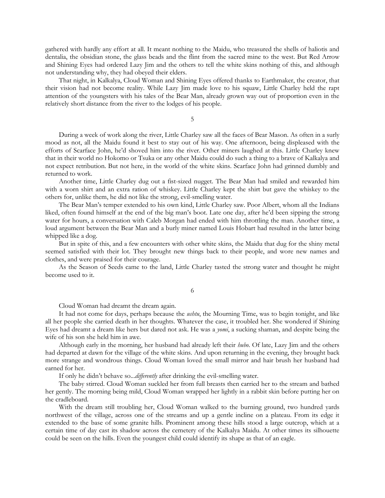gathered with hardly any effort at all. It meant nothing to the Maidu, who treasured the shells of haliotis and dentalia, the obsidian stone, the glass beads and the flint from the sacred mine to the west. But Red Arrow and Shining Eyes had ordered Lazy Jim and the others to tell the white skins nothing of this, and although not understanding why, they had obeyed their elders.

That night, in Kalkalya, Cloud Woman and Shining Eyes offered thanks to Earthmaker, the creator, that their vision had not become reality. While Lazy Jim made love to his squaw, Little Charley held the rapt attention of the youngsters with his tales of the Bear Man, already grown way out of proportion even in the relatively short distance from the river to the lodges of his people.

5

During a week of work along the river, Little Charley saw all the faces of Bear Mason. As often in a surly mood as not, all the Maidu found it best to stay out of his way. One afternoon, being displeased with the efforts of Scarface John, he'd shoved him into the river. Other miners laughed at this. Little Charley knew that in their world no Hokomo or Tsuka or any other Maidu could do such a thing to a brave of Kalkalya and not expect retribution. But not here, in the world of the white skins. Scarface John had grinned dumbly and returned to work.

Another time, Little Charley dug out a fist-sized nugget. The Bear Man had smiled and rewarded him with a worn shirt and an extra ration of whiskey. Little Charley kept the shirt but gave the whiskey to the others for, unlike them, he did not like the strong, evil-smelling water.

The Bear Man's temper extended to his own kind, Little Charley saw. Poor Albert, whom all the Indians liked, often found himself at the end of the big man's boot. Late one day, after he'd been sipping the strong water for hours, a conversation with Caleb Morgan had ended with him throttling the man. Another time, a loud argument between the Bear Man and a burly miner named Louis Hobart had resulted in the latter being whipped like a dog.

But in spite of this, and a few encounters with other white skins, the Maidu that dug for the shiny metal seemed satisfied with their lot. They brought new things back to their people, and wore new names and clothes, and were praised for their courage.

As the Season of Seeds came to the land, Little Charley tasted the strong water and thought he might become used to it.

6

Cloud Woman had dreamt the dream again.

It had not come for days, perhaps because the *ushtu*, the Mourning Time, was to begin tonight, and like all her people she carried death in her thoughts. Whatever the case, it troubled her. She wondered if Shining Eyes had dreamt a dream like hers but dared not ask. He was a *yomi*, a sucking shaman, and despite being the wife of his son she held him in awe.

Although early in the morning, her husband had already left their *hubo*. Of late, Lazy Jim and the others had departed at dawn for the village of the white skins. And upon returning in the evening, they brought back more strange and wondrous things. Cloud Woman loved the small mirror and hair brush her husband had earned for her.

If only he didn't behave so...*differently* after drinking the evil-smelling water.

The baby stirred. Cloud Woman suckled her from full breasts then carried her to the stream and bathed her gently. The morning being mild, Cloud Woman wrapped her lightly in a rabbit skin before putting her on the cradleboard.

With the dream still troubling her, Cloud Woman walked to the burning ground, two hundred yards northwest of the village, across one of the streams and up a gentle incline on a plateau. From its edge it extended to the base of some granite hills. Prominent among these hills stood a large outcrop, which at a certain time of day cast its shadow across the cemetery of the Kalkalya Maidu. At other times its silhouette could be seen on the hills. Even the youngest child could identify its shape as that of an eagle.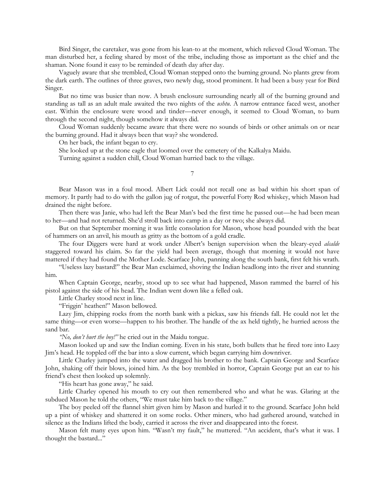Bird Singer, the caretaker, was gone from his lean-to at the moment, which relieved Cloud Woman. The man disturbed her, a feeling shared by most of the tribe, including those as important as the chief and the shaman. None found it easy to be reminded of death day after day.

Vaguely aware that she trembled, Cloud Woman stepped onto the burning ground. No plants grew from the dark earth. The outlines of three graves, two newly dug, stood prominent. It had been a busy year for Bird Singer.

But no time was busier than now. A brush enclosure surrounding nearly all of the burning ground and standing as tall as an adult male awaited the two nights of the *ushtu*. A narrow entrance faced west, another east. Within the enclosure were wood and tinder—never enough, it seemed to Cloud Woman, to burn through the second night, though somehow it always did.

Cloud Woman suddenly became aware that there were no sounds of birds or other animals on or near the burning ground. Had it always been that way? she wondered.

On her back, the infant began to cry.

She looked up at the stone eagle that loomed over the cemetery of the Kalkalya Maidu.

Turning against a sudden chill, Cloud Woman hurried back to the village.

7

Bear Mason was in a foul mood. Albert Lick could not recall one as bad within his short span of memory. It partly had to do with the gallon jug of rotgut, the powerful Forty Rod whiskey, which Mason had drained the night before.

Then there was Janie, who had left the Bear Man's bed the first time he passed out—he had been mean to her—and had not returned. She'd stroll back into camp in a day or two; she always did.

But on that September morning it was little consolation for Mason, whose head pounded with the beat of hammers on an anvil, his mouth as gritty as the bottom of a gold cradle.

The four Diggers were hard at work under Albert's benign supervision when the bleary-eyed *alcalde* staggered toward his claim. So far the yield had been average, though that morning it would not have mattered if they had found the Mother Lode. Scarface John, panning along the south bank, first felt his wrath.

"Useless lazy bastard!" the Bear Man exclaimed, shoving the Indian headlong into the river and stunning him.

When Captain George, nearby, stood up to see what had happened, Mason rammed the barrel of his pistol against the side of his head. The Indian went down like a felled oak.

Little Charley stood next in line.

"Friggin' heathen!" Mason bellowed.

Lazy Jim, chipping rocks from the north bank with a pickax, saw his friends fall. He could not let the same thing—or even worse—happen to his brother. The handle of the ax held tightly, he hurried across the sand bar.

*"No, don't hurt the boy!"* he cried out in the Maidu tongue.

Mason looked up and saw the Indian coming. Even in his state, both bullets that he fired tore into Lazy Jim's head. He toppled off the bar into a slow current, which began carrying him downriver.

Little Charley jumped into the water and dragged his brother to the bank. Captain George and Scarface John, shaking off their blows, joined him. As the boy trembled in horror, Captain George put an ear to his friend's chest then looked up solemnly.

"His heart has gone away," he said.

Little Charley opened his mouth to cry out then remembered who and what he was. Glaring at the subdued Mason he told the others, "We must take him back to the village."

The boy peeled off the flannel shirt given him by Mason and hurled it to the ground. Scarface John held up a pint of whiskey and shattered it on some rocks. Other miners, who had gathered around, watched in silence as the Indians lifted the body, carried it across the river and disappeared into the forest.

Mason felt many eyes upon him. "Wasn't my fault," he muttered. "An accident, that's what it was. I thought the bastard..."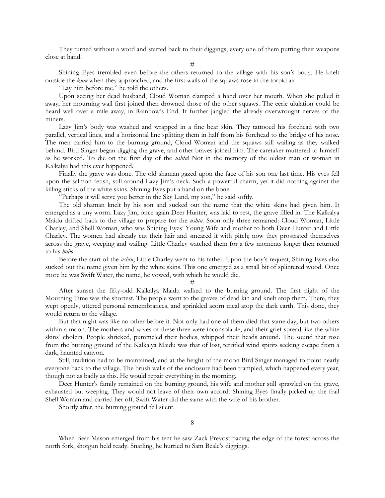They turned without a word and started back to their diggings, every one of them putting their weapons close at hand.

#

Shining Eyes trembled even before the others returned to the village with his son's body. He knelt outside the *kum* when they approached, and the first wails of the squaws rose in the torpid air.

"Lay him before me," he told the others.

Upon seeing her dead husband, Cloud Woman clamped a hand over her mouth. When she pulled it away, her mourning wail first joined then drowned those of the other squaws. The eerie ululation could be heard well over a mile away, in Rainbow's End. It further jangled the already overwrought nerves of the miners.

Lazy Jim's body was washed and wrapped in a fine bear skin. They tattooed his forehead with two parallel, vertical lines, and a horizontal line splitting them in half from his forehead to the bridge of his nose. The men carried him to the burning ground, Cloud Woman and the squaws still wailing as they walked behind. Bird Singer began digging the grave, and other braves joined him. The caretaker muttered to himself as he worked. To die on the first day of the *ushtu*! Not in the memory of the oldest man or woman in Kalkalya had this ever happened.

Finally the grave was done. The old shaman gazed upon the face of his son one last time. His eyes fell upon the salmon fetish, still around Lazy Jim's neck. Such a powerful charm, yet it did nothing against the killing sticks of the white skins. Shining Eyes put a hand on the bone.

"Perhaps it will serve you better in the Sky Land, my son," he said softly.

The old shaman knelt by his son and sucked out the name that the white skins had given him. It emerged as a tiny worm. Lazy Jim, once again Deer Hunter, was laid to rest, the grave filled in. The Kalkalya Maidu drifted back to the village to prepare for the *ushtu*. Soon only three remained: Cloud Woman, Little Charley, and Shell Woman, who was Shining Eyes' Young Wife and mother to both Deer Hunter and Little Charley. The women had already cut their hair and smeared it with pitch; now they prostrated themselves across the grave, weeping and wailing. Little Charley watched them for a few moments longer then returned to his *hubo*.

Before the start of the *ushtu*, Little Charley went to his father. Upon the boy's request, Shining Eyes also sucked out the name given him by the white skins. This one emerged as a small bit of splintered wood. Once more he was Swift Water, the name, he vowed, with which he would die.

#

After sunset the fifty-odd Kalkalya Maidu walked to the burning ground. The first night of the Mourning Time was the shortest. The people went to the graves of dead kin and knelt atop them. There, they wept openly, uttered personal remembrances, and sprinkled acorn meal atop the dark earth. This done, they would return to the village.

But that night was like no other before it. Not only had one of them died that same day, but two others within a moon. The mothers and wives of these three were inconsolable, and their grief spread like the white skins' cholera. People shrieked, pummeled their bodies, whipped their heads around. The sound that rose from the burning ground of the Kalkalya Maidu was that of lost, terrified wind spirits seeking escape from a dark, haunted canyon.

Still, tradition had to be maintained, and at the height of the moon Bird Singer managed to point nearly everyone back to the village. The brush walls of the enclosure had been trampled, which happened every year, though not as badly as this. He would repair everything in the morning.

Deer Hunter's family remained on the burning ground, his wife and mother still sprawled on the grave, exhausted but weeping. They would not leave of their own accord. Shining Eyes finally picked up the frail Shell Woman and carried her off. Swift Water did the same with the wife of his brother.

Shortly after, the burning ground fell silent.

When Bear Mason emerged from his tent he saw Zack Prevost pacing the edge of the forest across the north fork, shotgun held ready. Snarling, he hurried to Sam Beale's diggings.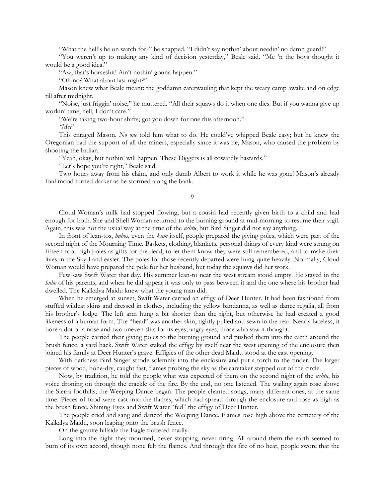"What the hell's he on watch for?" he snapped. "I didn't say nothin' about needin' no damn guard!"

"You weren't up to making any kind of decision yesterday," Beale said. "Me 'n the boys thought it would be a good idea."

"Aw, that's horseshit! Ain't nothin' gonna happen."

"Oh no? What about last night?"

Mason knew what Beale meant: the goddamn caterwauling that kept the weary camp awake and on edge till after midnight.

"Noise, just friggin' noise," he muttered. "All their squaws do it when one dies. But if you wanna give up workin' time, hell, I don't care."

"We're taking two-hour shifts; got you down for one this afternoon."

*"Me?"*

This enraged Mason. *No one* told him what to do. He could've whipped Beale easy; but he knew the Oregonian had the support of all the miners, especially since it was he, Mason, who caused the problem by shooting the Indian.

"Yeah, okay, but nothin' will happen. These Diggers is all cowardly bastards."

"Let's hope you're right," Beale said.

Two hours away from his claim, and only dumb Albert to work it while he was gone! Mason's already foul mood turned darker as he stormed along the bank.

9

Cloud Woman's milk had stopped flowing, but a cousin had recently given birth to a child and had enough for both. She and Shell Woman returned to the burning ground at mid-morning to resume their vigil. Again, this was not the usual way at the time of the *ushtu*, but Bird Singer did not say anything.

In front of lean-tos, *hubos*, even the *kum* itself, people prepared the giving poles, which were part of the second night of the Mourning Time. Baskets, clothing, blankets, personal things of every kind were strung on fifteen-foot-high poles as gifts for the dead, to let them know they were still remembered, and to make their lives in the Sky Land easier. The poles for those recently departed were hung quite heavily. Normally, Cloud Woman would have prepared the pole for her husband, but today the squaws did her work.

Few saw Swift Water that day. His summer lean-to near the west stream stood empty. He stayed in the *hubo* of his parents, and when he did appear it was only to pass between it and the one where his brother had dwelled. The Kalkalya Maidu knew what the young man did.

When he emerged at sunset, Swift Water carried an effigy of Deer Hunter. It had been fashioned from stuffed wildcat skins and dressed in clothes, including the yellow bandanna, as well as dance regalia, all from his brother's lodge. The left arm hung a bit shorter than the right, but otherwise he had created a good likeness of a human form. The "head" was another skin, tightly pulled and sewn in the rear. Nearly faceless, it bore a dot of a nose and two uneven slits for its eyes; angry eyes, those who saw it thought.

The people carried their giving poles to the burning ground and pushed them into the earth around the brush fence, a yard back. Swift Water staked the effigy by itself near the west opening of the enclosure then joined his family at Deer Hunter's grave. Effigies of the other dead Maidu stood at the east opening.

With darkness Bird Singer strode solemnly into the enclosure and put a torch to the tinder. The larger pieces of wood, bone-dry, caught fast, flames probing the sky as the caretaker stepped out of the circle.

Now, by tradition, he told the people what was expected of them on the second night of the *ushtu*, his voice droning on through the crackle of the fire. By the end, no one listened. The wailing again rose above the Sierra foothills; the Weeping Dance began. The people chanted songs, many different ones, at the same time. Pieces of food were cast into the flames, which had spread through the enclosure and rose as high as the brush fence. Shining Eyes and Swift Water "fed" the effigy of Deer Hunter.

The people cried and sang and danced the Weeping Dance. Flames rose high above the cemetery of the Kalkalya Maidu, soon leaping onto the brush fence.

On the granite hillside the Eagle fluttered madly.

Long into the night they mourned, never stopping, never tiring. All around them the earth seemed to burn of its own accord, though none felt the flames. And through this fire of no heat, people swore that the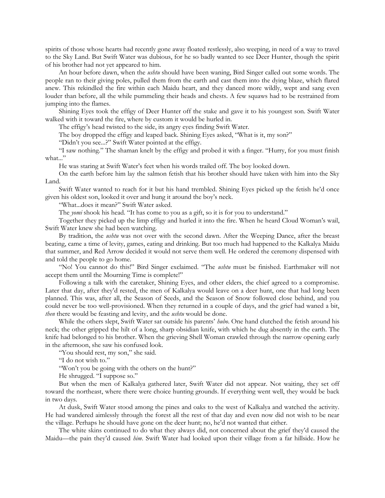spirits of those whose hearts had recently gone away floated restlessly, also weeping, in need of a way to travel to the Sky Land. But Swift Water was dubious, for he so badly wanted to see Deer Hunter, though the spirit of his brother had not yet appeared to him.

An hour before dawn, when the *ushtu* should have been waning, Bird Singer called out some words. The people ran to their giving poles, pulled them from the earth and cast them into the dying blaze, which flared anew. This rekindled the fire within each Maidu heart, and they danced more wildly, wept and sang even louder than before, all the while pummeling their heads and chests. A few squaws had to be restrained from jumping into the flames.

Shining Eyes took the effigy of Deer Hunter off the stake and gave it to his youngest son. Swift Water walked with it toward the fire, where by custom it would be hurled in.

The effigy's head twisted to the side, its angry eyes finding Swift Water.

The boy dropped the effigy and leaped back. Shining Eyes asked, "What is it, my son?"

"Didn't you see...?" Swift Water pointed at the effigy.

"I saw nothing." The shaman knelt by the effigy and probed it with a finger. "Hurry, for you must finish what..."

He was staring at Swift Water's feet when his words trailed off. The boy looked down.

On the earth before him lay the salmon fetish that his brother should have taken with him into the Sky Land.

Swift Water wanted to reach for it but his hand trembled. Shining Eyes picked up the fetish he'd once given his oldest son, looked it over and hung it around the boy's neck.

"What...does it mean?" Swift Water asked.

The *yomi* shook his head. "It has come to you as a gift, so it is for you to understand."

Together they picked up the limp effigy and hurled it into the fire. When he heard Cloud Woman's wail, Swift Water knew she had been watching.

By tradition, the *ushtu* was not over with the second dawn. After the Weeping Dance, after the breast beating, came a time of levity, games, eating and drinking. But too much had happened to the Kalkalya Maidu that summer, and Red Arrow decided it would not serve them well. He ordered the ceremony dispensed with and told the people to go home.

"No! You cannot do this!" Bird Singer exclaimed. "The *ushtu* must be finished. Earthmaker will not accept them until the Mourning Time is complete!"

Following a talk with the caretaker, Shining Eyes, and other elders, the chief agreed to a compromise. Later that day, after they'd rested, the men of Kalkalya would leave on a deer hunt, one that had long been planned. This was, after all, the Season of Seeds, and the Season of Snow followed close behind, and you could never be too well-provisioned. When they returned in a couple of days, and the grief had waned a bit, *then* there would be feasting and levity, and the *ushtu* would be done.

While the others slept, Swift Water sat outside his parents' *hubo*. One hand clutched the fetish around his neck; the other gripped the hilt of a long, sharp obsidian knife, with which he dug absently in the earth. The knife had belonged to his brother. When the grieving Shell Woman crawled through the narrow opening early in the afternoon, she saw his confused look.

"You should rest, my son," she said.

"I do not wish to."

"Won't you be going with the others on the hunt?"

He shrugged. "I suppose so."

But when the men of Kalkalya gathered later, Swift Water did not appear. Not waiting, they set off toward the northeast, where there were choice hunting grounds. If everything went well, they would be back in two days.

At dusk, Swift Water stood among the pines and oaks to the west of Kalkalya and watched the activity. He had wandered aimlessly through the forest all the rest of that day and even now did not wish to be near the village. Perhaps he should have gone on the deer hunt; no, he'd not wanted that either.

The white skins continued to do what they always did, not concerned about the grief they'd caused the Maidu—the pain they'd caused *him*. Swift Water had looked upon their village from a far hillside. How he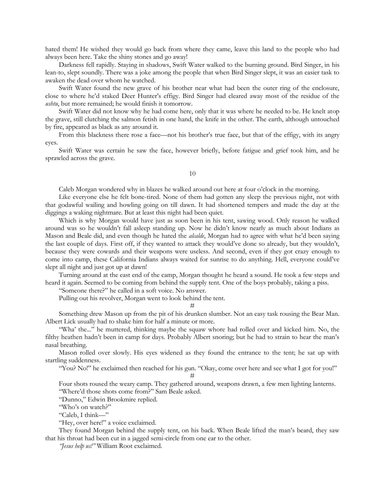hated them! He wished they would go back from where they came, leave this land to the people who had always been here. Take the shiny stones and go away!

Darkness fell rapidly. Staying in shadows, Swift Water walked to the burning ground. Bird Singer, in his lean-to, slept soundly. There was a joke among the people that when Bird Singer slept, it was an easier task to awaken the dead over whom he watched.

Swift Water found the new grave of his brother near what had been the outer ring of the enclosure, close to where he'd staked Deer Hunter's effigy. Bird Singer had cleared away most of the residue of the *ushtu*, but more remained; he would finish it tomorrow.

Swift Water did not know why he had come here, only that it was where he needed to be. He knelt atop the grave, still clutching the salmon fetish in one hand, the knife in the other. The earth, although untouched by fire, appeared as black as any around it.

From this blackness there rose a face—not his brother's true face, but that of the effigy, with its angry eyes.

Swift Water was certain he saw the face, however briefly, before fatigue and grief took him, and he sprawled across the grave.

10

Caleb Morgan wondered why in blazes he walked around out here at four o'clock in the morning.

Like everyone else he felt bone-tired. None of them had gotten any sleep the previous night, not with that godawful wailing and howling going on till dawn. It had shortened tempers and made the day at the diggings a waking nightmare. But at least this night had been quiet.

Which is why Morgan would have just as soon been in his tent, sawing wood. Only reason he walked around was so he wouldn't fall asleep standing up. Now he didn't know nearly as much about Indians as Mason and Beale did, and even though he hated the *alcalde*, Morgan had to agree with what he'd been saying the last couple of days. First off, if they wanted to attack they would've done so already, but they wouldn't, because they were cowards and their weapons were useless. And second, even if they got crazy enough to come into camp, these California Indians always waited for sunrise to do anything. Hell, everyone could've slept all night and just got up at dawn!

Turning around at the east end of the camp, Morgan thought he heard a sound. He took a few steps and heard it again. Seemed to be coming from behind the supply tent. One of the boys probably, taking a piss.

"Someone there?" he called in a soft voice. No answer.

Pulling out his revolver, Morgan went to look behind the tent.

#

Something drew Mason up from the pit of his drunken slumber. Not an easy task rousing the Bear Man. Albert Lick usually had to shake him for half a minute or more.

"Wha' the..." he muttered, thinking maybe the squaw whore had rolled over and kicked him. No, the filthy heathen hadn't been in camp for days. Probably Albert snoring; but he had to strain to hear the man's nasal breathing.

Mason rolled over slowly. His eyes widened as they found the entrance to the tent; he sat up with startling suddenness.

"You? No!" he exclaimed then reached for his gun. "Okay, come over here and see what I got for you!"

#

Four shots roused the weary camp. They gathered around, weapons drawn, a few men lighting lanterns. "Where'd those shots come from?" Sam Beale asked.

"Dunno," Edwin Brookmire replied.

"Who's on watch?"

"Caleb, I think—"

"Hey, over here!" a voice exclaimed.

They found Morgan behind the supply tent, on his back. When Beale lifted the man's beard, they saw that his throat had been cut in a jagged semi-circle from one ear to the other.

*"Jesus help us!"* William Root exclaimed.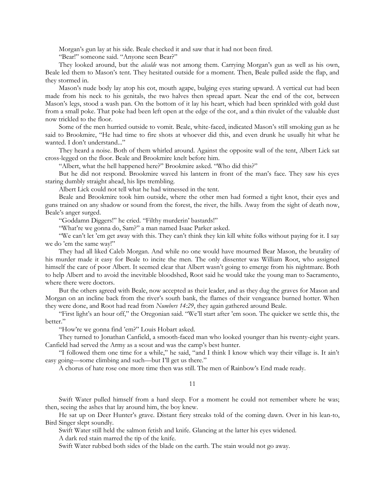Morgan's gun lay at his side. Beale checked it and saw that it had not been fired.

"Bear!" someone said. "Anyone seen Bear?"

They looked around, but the *alcalde* was not among them. Carrying Morgan's gun as well as his own, Beale led them to Mason's tent. They hesitated outside for a moment. Then, Beale pulled aside the flap, and they stormed in.

Mason's nude body lay atop his cot, mouth agape, bulging eyes staring upward. A vertical cut had been made from his neck to his genitals, the two halves then spread apart. Near the end of the cot, between Mason's legs, stood a wash pan. On the bottom of it lay his heart, which had been sprinkled with gold dust from a small poke. That poke had been left open at the edge of the cot, and a thin rivulet of the valuable dust now trickled to the floor.

Some of the men hurried outside to vomit. Beale, white-faced, indicated Mason's still smoking gun as he said to Brookmire, "He had time to fire shots at whoever did this, and even drunk he usually hit what he wanted. I don't understand..."

They heard a noise. Both of them whirled around. Against the opposite wall of the tent, Albert Lick sat cross-legged on the floor. Beale and Brookmire knelt before him.

"Albert, what the hell happened here?" Brookmire asked. "Who did this?"

But he did not respond. Brookmire waved his lantern in front of the man's face. They saw his eyes staring dumbly straight ahead, his lips trembling.

Albert Lick could not tell what he had witnessed in the tent.

Beale and Brookmire took him outside, where the other men had formed a tight knot, their eyes and guns trained on any shadow or sound from the forest, the river, the hills. Away from the sight of death now, Beale's anger surged.

"Goddamn Diggers!" he cried. "Filthy murderin' bastards!"

"What're we gonna do, Sam?" a man named Isaac Parker asked.

"We can't let 'em get away with this. They can't think they kin kill white folks without paying for it. I say we do 'em the same way!"

They had all liked Caleb Morgan. And while no one would have mourned Bear Mason, the brutality of his murder made it easy for Beale to incite the men. The only dissenter was William Root, who assigned himself the care of poor Albert. It seemed clear that Albert wasn't going to emerge from his nightmare. Both to help Albert and to avoid the inevitable bloodshed, Root said he would take the young man to Sacramento, where there were doctors.

But the others agreed with Beale, now accepted as their leader, and as they dug the graves for Mason and Morgan on an incline back from the river's south bank, the flames of their vengeance burned hotter. When they were done, and Root had read from *Numbers 14:29*, they again gathered around Beale.

"First light's an hour off," the Oregonian said. "We'll start after 'em soon. The quicker we settle this, the better."

"How're we gonna find 'em?" Louis Hobart asked.

They turned to Jonathan Canfield, a smooth-faced man who looked younger than his twenty-eight years. Canfield had served the Army as a scout and was the camp's best hunter.

"I followed them one time for a while," he said, "and I think I know which way their village is. It ain't easy going—some climbing and such—but I'll get us there."

A chorus of hate rose one more time then was still. The men of Rainbow's End made ready.

11

Swift Water pulled himself from a hard sleep. For a moment he could not remember where he was; then, seeing the ashes that lay around him, the boy knew.

He sat up on Deer Hunter's grave. Distant fiery streaks told of the coming dawn. Over in his lean-to, Bird Singer slept soundly.

Swift Water still held the salmon fetish and knife. Glancing at the latter his eyes widened.

A dark red stain marred the tip of the knife.

Swift Water rubbed both sides of the blade on the earth. The stain would not go away.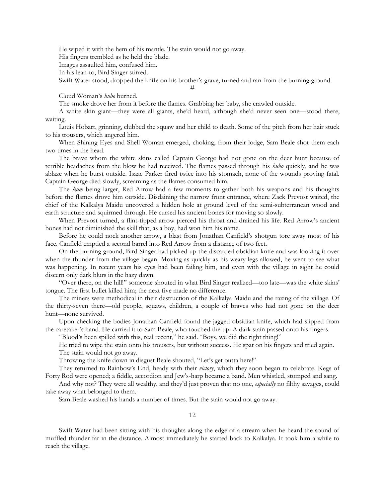He wiped it with the hem of his mantle. The stain would not go away.

His fingers trembled as he held the blade.

Images assaulted him, confused him.

In his lean-to, Bird Singer stirred.

Swift Water stood, dropped the knife on his brother's grave, turned and ran from the burning ground. #

Cloud Woman's *hubo* burned.

The smoke drove her from it before the flames. Grabbing her baby, she crawled outside.

A white skin giant—they were all giants, she'd heard, although she'd never seen one—stood there, waiting.

Louis Hobart, grinning, clubbed the squaw and her child to death. Some of the pitch from her hair stuck to his trousers, which angered him.

When Shining Eyes and Shell Woman emerged, choking, from their lodge, Sam Beale shot them each two times in the head.

The brave whom the white skins called Captain George had not gone on the deer hunt because of terrible headaches from the blow he had received. The flames passed through his *hubo* quickly, and he was ablaze when he burst outside. Isaac Parker fired twice into his stomach, none of the wounds proving fatal. Captain George died slowly, screaming as the flames consumed him.

The *kum* being larger, Red Arrow had a few moments to gather both his weapons and his thoughts before the flames drove him outside. Disdaining the narrow front entrance, where Zack Prevost waited, the chief of the Kalkalya Maidu uncovered a hidden hole at ground level of the semi-subterranean wood and earth structure and squirmed through. He cursed his ancient bones for moving so slowly.

When Prevost turned, a flint-tipped arrow pierced his throat and drained his life. Red Arrow's ancient bones had not diminished the skill that, as a boy, had won him his name.

Before he could nock another arrow, a blast from Jonathan Canfield's shotgun tore away most of his face. Canfield emptied a second barrel into Red Arrow from a distance of two feet.

On the burning ground, Bird Singer had picked up the discarded obsidian knife and was looking it over when the thunder from the village began. Moving as quickly as his weary legs allowed, he went to see what was happening. In recent years his eyes had been failing him, and even with the village in sight he could discern only dark blurs in the hazy dawn.

"Over there, on the hill!" someone shouted in what Bird Singer realized—too late—was the white skins' tongue. The first bullet killed him; the next five made no difference.

The miners were methodical in their destruction of the Kalkalya Maidu and the razing of the village. Of the thirty-seven there—old people, squaws, children, a couple of braves who had not gone on the deer hunt—none survived.

Upon checking the bodies Jonathan Canfield found the jagged obsidian knife, which had slipped from the caretaker's hand. He carried it to Sam Beale, who touched the tip. A dark stain passed onto his fingers.

"Blood's been spilled with this, real recent," he said. "Boys, we did the right thing!"

He tried to wipe the stain onto his trousers, but without success. He spat on his fingers and tried again. The stain would not go away.

Throwing the knife down in disgust Beale shouted, "Let's get outta here!"

They returned to Rainbow's End, heady with their *victory*, which they soon began to celebrate. Kegs of Forty Rod were opened; a fiddle, accordion and Jew's-harp became a band. Men whistled, stomped and sang.

And why not? They were all wealthy, and they'd just proven that no one, *especially* no filthy savages, could take away what belonged to them.

Sam Beale washed his hands a number of times. But the stain would not go away.

12

Swift Water had been sitting with his thoughts along the edge of a stream when he heard the sound of muffled thunder far in the distance. Almost immediately he started back to Kalkalya. It took him a while to reach the village.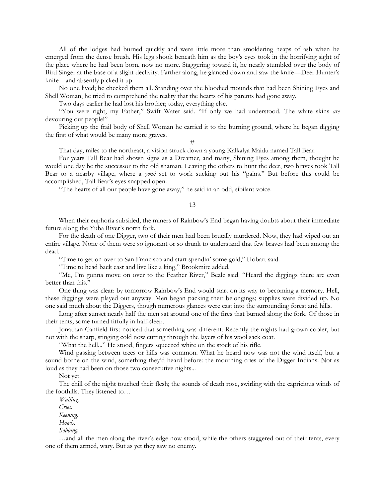All of the lodges had burned quickly and were little more than smoldering heaps of ash when he emerged from the dense brush. His legs shook beneath him as the boy's eyes took in the horrifying sight of the place where he had been born, now no more. Staggering toward it, he nearly stumbled over the body of Bird Singer at the base of a slight declivity. Farther along, he glanced down and saw the knife—Deer Hunter's knife—and absently picked it up.

No one lived; he checked them all. Standing over the bloodied mounds that had been Shining Eyes and Shell Woman, he tried to comprehend the reality that the hearts of his parents had gone away.

Two days earlier he had lost his brother; today, everything else.

"You were right, my Father," Swift Water said. "If only we had understood. The white skins *are* devouring our people!"

Picking up the frail body of Shell Woman he carried it to the burning ground, where he began digging the first of what would be many more graves.

## #

That day, miles to the northeast, a vision struck down a young Kalkalya Maidu named Tall Bear.

For years Tall Bear had shown signs as a Dreamer, and many, Shining Eyes among them, thought he would one day be the successor to the old shaman. Leaving the others to hunt the deer, two braves took Tall Bear to a nearby village, where a *yomi* set to work sucking out his "pains." But before this could be accomplished, Tall Bear's eyes snapped open.

"The hearts of all our people have gone away," he said in an odd, sibilant voice.

### 13

When their euphoria subsided, the miners of Rainbow's End began having doubts about their immediate future along the Yuba River's north fork.

For the death of one Digger, two of their men had been brutally murdered. Now, they had wiped out an entire village. None of them were so ignorant or so drunk to understand that few braves had been among the dead.

"Time to get on over to San Francisco and start spendin' some gold," Hobart said.

"Time to head back east and live like a king," Brookmire added.

"Me, I'm gonna move on over to the Feather River," Beale said. "Heard the diggings there are even better than this."

One thing was clear: by tomorrow Rainbow's End would start on its way to becoming a memory. Hell, these diggings were played out anyway. Men began packing their belongings; supplies were divided up. No one said much about the Diggers, though numerous glances were cast into the surrounding forest and hills.

Long after sunset nearly half the men sat around one of the fires that burned along the fork. Of those in their tents, some turned fitfully in half-sleep.

Jonathan Canfield first noticed that something was different. Recently the nights had grown cooler, but not with the sharp, stinging cold now cutting through the layers of his wool sack coat.

"What the hell..." He stood, fingers squeezed white on the stock of his rifle.

Wind passing between trees or hills was common. What he heard now was not the wind itself, but a sound borne on the wind, something they'd heard before: the mourning cries of the Digger Indians. Not as loud as they had been on those two consecutive nights...

Not yet.

The chill of the night touched their flesh; the sounds of death rose, swirling with the capricious winds of the foothills. They listened to…

*Wailing.*

*Cries.*

*Keening.*

*Howls.*

*Sobbing.*

…and all the men along the river's edge now stood, while the others staggered out of their tents, every one of them armed, wary. But as yet they saw no enemy.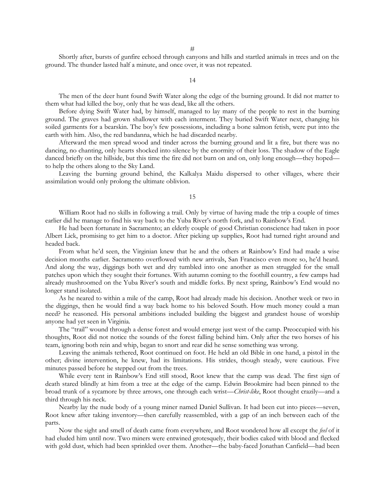Shortly after, bursts of gunfire echoed through canyons and hills and startled animals in trees and on the ground. The thunder lasted half a minute, and once over, it was not repeated.

14

The men of the deer hunt found Swift Water along the edge of the burning ground. It did not matter to them what had killed the boy, only that he was dead, like all the others.

Before dying Swift Water had, by himself, managed to lay many of the people to rest in the burning ground. The graves had grown shallower with each interment. They buried Swift Water next, changing his soiled garments for a bearskin. The boy's few possessions, including a bone salmon fetish, were put into the earth with him. Also, the red bandanna, which he had discarded nearby.

Afterward the men spread wood and tinder across the burning ground and lit a fire, but there was no dancing, no chanting, only hearts shocked into silence by the enormity of their loss. The shadow of the Eagle danced briefly on the hillside, but this time the fire did not burn on and on, only long enough—they hoped to help the others along to the Sky Land.

Leaving the burning ground behind, the Kalkalya Maidu dispersed to other villages, where their assimilation would only prolong the ultimate oblivion.

#### 15

William Root had no skills in following a trail. Only by virtue of having made the trip a couple of times earlier did he manage to find his way back to the Yuba River's north fork, and to Rainbow's End.

He had been fortunate in Sacramento; an elderly couple of good Christian conscience had taken in poor Albert Lick, promising to get him to a doctor. After picking up supplies, Root had turned right around and headed back.

From what he'd seen, the Virginian knew that he and the others at Rainbow's End had made a wise decision months earlier. Sacramento overflowed with new arrivals, San Francisco even more so, he'd heard. And along the way, diggings both wet and dry tumbled into one another as men struggled for the small patches upon which they sought their fortunes. With autumn coming to the foothill country, a few camps had already mushroomed on the Yuba River's south and middle forks. By next spring, Rainbow's End would no longer stand isolated.

As he neared to within a mile of the camp, Root had already made his decision. Another week or two in the diggings, then he would find a way back home to his beloved South. How much money could a man need? he reasoned. His personal ambitions included building the biggest and grandest house of worship anyone had yet seen in Virginia.

The "trail" wound through a dense forest and would emerge just west of the camp. Preoccupied with his thoughts, Root did not notice the sounds of the forest falling behind him. Only after the two horses of his team, ignoring both rein and whip, began to snort and rear did he sense something was wrong.

Leaving the animals tethered, Root continued on foot. He held an old Bible in one hand, a pistol in the other; divine intervention, he knew, had its limitations. His strides, though steady, were cautious. Five minutes passed before he stepped out from the trees.

While every tent in Rainbow's End still stood, Root knew that the camp was dead. The first sign of death stared blindly at him from a tree at the edge of the camp. Edwin Brookmire had been pinned to the broad trunk of a sycamore by three arrows, one through each wrist—*Christ-like*, Root thought crazily—and a third through his neck.

Nearby lay the nude body of a young miner named Daniel Sullivan. It had been cut into pieces—seven, Root knew after taking inventory—then carefully reassembled, with a gap of an inch between each of the parts.

Now the sight and smell of death came from everywhere, and Root wondered how all except the *feel* of it had eluded him until now. Two miners were entwined grotesquely, their bodies caked with blood and flecked with gold dust, which had been sprinkled over them. Another—the baby-faced Jonathan Canfield—had been